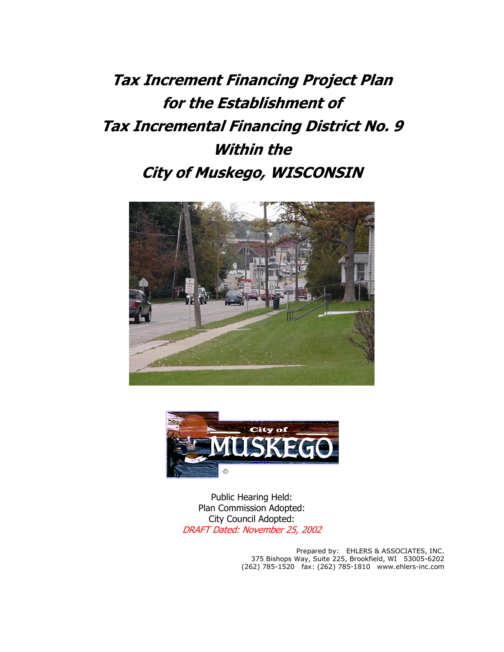# **Tax Increment Financing Project Plan for the Establishment of Tax Incremental Financing District No. 9 Within the City of Muskego, WISCONSIN**





Public Hearing Held: Plan Commission Adopted: City Council Adopted: DRAFT Dated: November 25, 2002

> Prepared by: EHLERS & ASSOCIATES, INC. 375 Bishops Way, Suite 225, Brookfield, WI 53005-6202 (262) 785-1520 fax: (262) 785-1810 www.ehlers-inc.com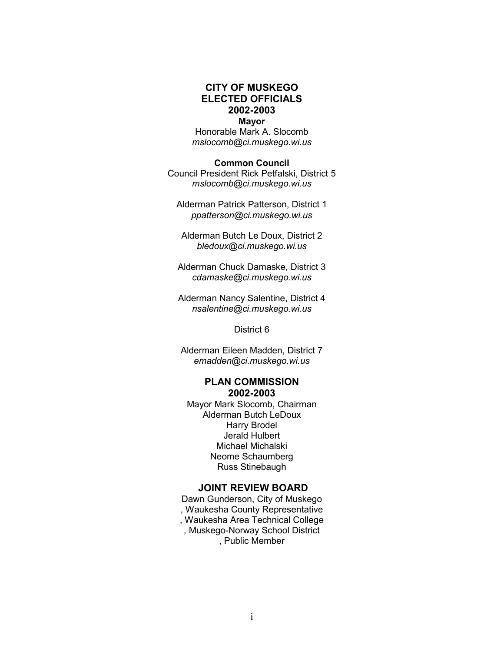#### **CITY OF MUSKEGO ELECTED OFFICIALS 2002-2003 Mayor**

Honorable Mark A. Slocomb *mslocomb@ci.muskego.wi.us* 

**Common Council**  Council President Rick Petfalski, District 5 *mslocomb@ci.muskego.wi.us* 

Alderman Patrick Patterson, District 1 *ppatterson@ci.muskego.wi.us* 

Alderman Butch Le Doux, District 2 *bledoux@ci.muskego.wi.us* 

Alderman Chuck Damaske, District 3 *cdamaske@ci.muskego.wi.us* 

Alderman Nancy Salentine, District 4 *nsalentine@ci.muskego.wi.us* 

District 6

Alderman Eileen Madden, District 7 *emadden@ci.muskego.wi.us* 

#### **PLAN COMMISSION 2002-2003**

Mayor Mark Slocomb, Chairman Alderman Butch LeDoux Harry Brodel Jerald Hulbert Michael Michalski Neome Schaumberg Russ Stinebaugh

#### **JOINT REVIEW BOARD**

Dawn Gunderson, City of Muskego , Waukesha County Representative , Waukesha Area Technical College , Muskego-Norway School District , Public Member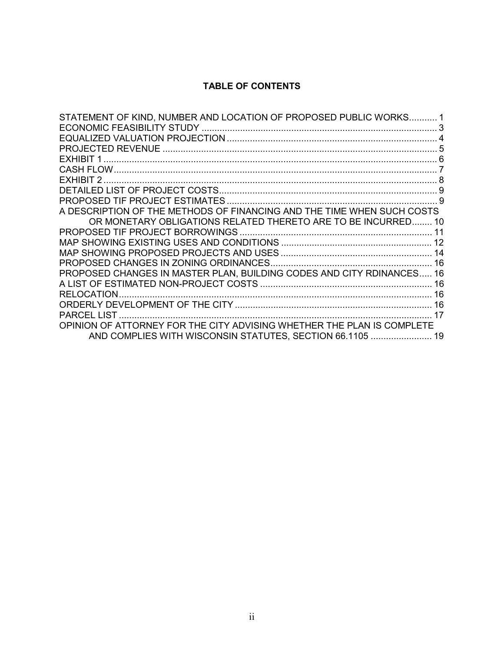#### **TABLE OF CONTENTS**

| STATEMENT OF KIND, NUMBER AND LOCATION OF PROPOSED PUBLIC WORKS 1      |  |
|------------------------------------------------------------------------|--|
|                                                                        |  |
|                                                                        |  |
|                                                                        |  |
|                                                                        |  |
|                                                                        |  |
|                                                                        |  |
|                                                                        |  |
|                                                                        |  |
| A DESCRIPTION OF THE METHODS OF FINANCING AND THE TIME WHEN SUCH COSTS |  |
| OR MONETARY OBLIGATIONS RELATED THERETO ARE TO BE INCURRED 10          |  |
|                                                                        |  |
|                                                                        |  |
|                                                                        |  |
|                                                                        |  |
| PROPOSED CHANGES IN MASTER PLAN, BUILDING CODES AND CITY RDINANCES 16  |  |
|                                                                        |  |
|                                                                        |  |
|                                                                        |  |
|                                                                        |  |
| OPINION OF ATTORNEY FOR THE CITY ADVISING WHETHER THE PLAN IS COMPLETE |  |
| AND COMPLIES WITH WISCONSIN STATUTES, SECTION 66.1105  19              |  |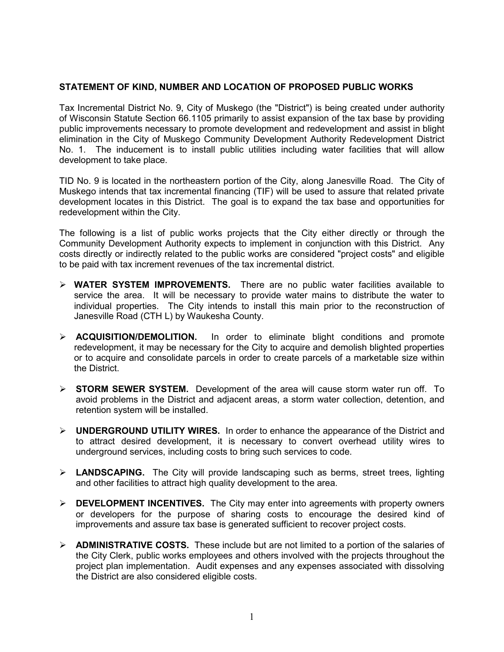#### **STATEMENT OF KIND, NUMBER AND LOCATION OF PROPOSED PUBLIC WORKS**

Tax Incremental District No. 9, City of Muskego (the "District") is being created under authority of Wisconsin Statute Section 66.1105 primarily to assist expansion of the tax base by providing public improvements necessary to promote development and redevelopment and assist in blight elimination in the City of Muskego Community Development Authority Redevelopment District No. 1. The inducement is to install public utilities including water facilities that will allow development to take place.

TID No. 9 is located in the northeastern portion of the City, along Janesville Road. The City of Muskego intends that tax incremental financing (TIF) will be used to assure that related private development locates in this District. The goal is to expand the tax base and opportunities for redevelopment within the City.

The following is a list of public works projects that the City either directly or through the Community Development Authority expects to implement in conjunction with this District. Any costs directly or indirectly related to the public works are considered "project costs" and eligible to be paid with tax increment revenues of the tax incremental district.

- ¾ **WATER SYSTEM IMPROVEMENTS.** There are no public water facilities available to service the area. It will be necessary to provide water mains to distribute the water to individual properties. The City intends to install this main prior to the reconstruction of Janesville Road (CTH L) by Waukesha County.
- ¾ **ACQUISITION/DEMOLITION.** In order to eliminate blight conditions and promote redevelopment, it may be necessary for the City to acquire and demolish blighted properties or to acquire and consolidate parcels in order to create parcels of a marketable size within the District.
- ¾ **STORM SEWER SYSTEM.** Development of the area will cause storm water run off. To avoid problems in the District and adjacent areas, a storm water collection, detention, and retention system will be installed.
- ¾ **UNDERGROUND UTILITY WIRES.** In order to enhance the appearance of the District and to attract desired development, it is necessary to convert overhead utility wires to underground services, including costs to bring such services to code.
- ¾ **LANDSCAPING.** The City will provide landscaping such as berms, street trees, lighting and other facilities to attract high quality development to the area.
- ¾ **DEVELOPMENT INCENTIVES.** The City may enter into agreements with property owners or developers for the purpose of sharing costs to encourage the desired kind of improvements and assure tax base is generated sufficient to recover project costs.
- ¾ **ADMINISTRATIVE COSTS.** These include but are not limited to a portion of the salaries of the City Clerk, public works employees and others involved with the projects throughout the project plan implementation. Audit expenses and any expenses associated with dissolving the District are also considered eligible costs.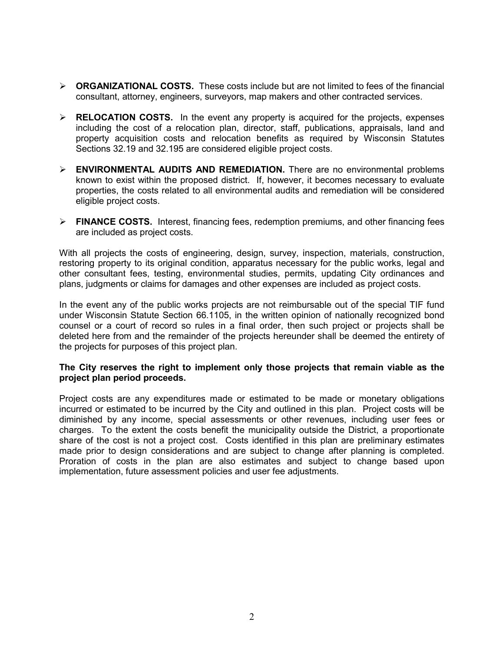- ¾ **ORGANIZATIONAL COSTS.** These costs include but are not limited to fees of the financial consultant, attorney, engineers, surveyors, map makers and other contracted services.
- ¾ **RELOCATION COSTS.** In the event any property is acquired for the projects, expenses including the cost of a relocation plan, director, staff, publications, appraisals, land and property acquisition costs and relocation benefits as required by Wisconsin Statutes Sections 32.19 and 32.195 are considered eligible project costs.
- ¾ **ENVIRONMENTAL AUDITS AND REMEDIATION.** There are no environmental problems known to exist within the proposed district. If, however, it becomes necessary to evaluate properties, the costs related to all environmental audits and remediation will be considered eligible project costs.
- ¾ **FINANCE COSTS.** Interest, financing fees, redemption premiums, and other financing fees are included as project costs.

With all projects the costs of engineering, design, survey, inspection, materials, construction, restoring property to its original condition, apparatus necessary for the public works, legal and other consultant fees, testing, environmental studies, permits, updating City ordinances and plans, judgments or claims for damages and other expenses are included as project costs.

In the event any of the public works projects are not reimbursable out of the special TIF fund under Wisconsin Statute Section 66.1105, in the written opinion of nationally recognized bond counsel or a court of record so rules in a final order, then such project or projects shall be deleted here from and the remainder of the projects hereunder shall be deemed the entirety of the projects for purposes of this project plan.

#### **The City reserves the right to implement only those projects that remain viable as the project plan period proceeds.**

Project costs are any expenditures made or estimated to be made or monetary obligations incurred or estimated to be incurred by the City and outlined in this plan. Project costs will be diminished by any income, special assessments or other revenues, including user fees or charges. To the extent the costs benefit the municipality outside the District, a proportionate share of the cost is not a project cost. Costs identified in this plan are preliminary estimates made prior to design considerations and are subject to change after planning is completed. Proration of costs in the plan are also estimates and subject to change based upon implementation, future assessment policies and user fee adjustments.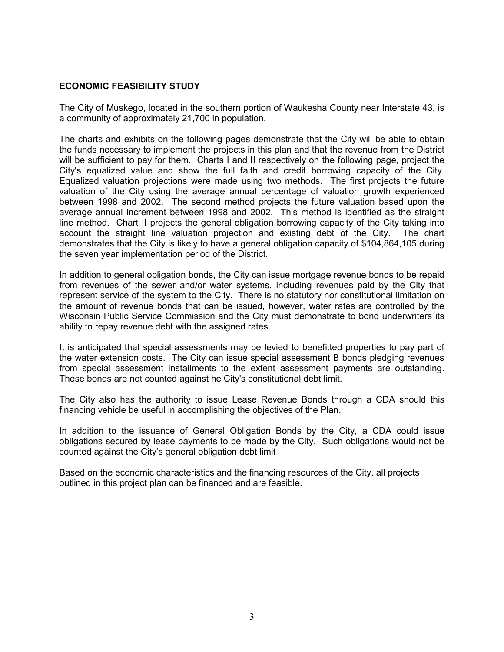#### **ECONOMIC FEASIBILITY STUDY**

The City of Muskego, located in the southern portion of Waukesha County near Interstate 43, is a community of approximately 21,700 in population.

The charts and exhibits on the following pages demonstrate that the City will be able to obtain the funds necessary to implement the projects in this plan and that the revenue from the District will be sufficient to pay for them. Charts I and II respectively on the following page, project the City's equalized value and show the full faith and credit borrowing capacity of the City. Equalized valuation projections were made using two methods. The first projects the future valuation of the City using the average annual percentage of valuation growth experienced between 1998 and 2002. The second method projects the future valuation based upon the average annual increment between 1998 and 2002. This method is identified as the straight line method. Chart II projects the general obligation borrowing capacity of the City taking into account the straight line valuation projection and existing debt of the City. The chart demonstrates that the City is likely to have a general obligation capacity of \$104,864,105 during the seven year implementation period of the District.

In addition to general obligation bonds, the City can issue mortgage revenue bonds to be repaid from revenues of the sewer and/or water systems, including revenues paid by the City that represent service of the system to the City. There is no statutory nor constitutional limitation on the amount of revenue bonds that can be issued, however, water rates are controlled by the Wisconsin Public Service Commission and the City must demonstrate to bond underwriters its ability to repay revenue debt with the assigned rates.

It is anticipated that special assessments may be levied to benefitted properties to pay part of the water extension costs. The City can issue special assessment B bonds pledging revenues from special assessment installments to the extent assessment payments are outstanding. These bonds are not counted against he City's constitutional debt limit.

The City also has the authority to issue Lease Revenue Bonds through a CDA should this financing vehicle be useful in accomplishing the objectives of the Plan.

In addition to the issuance of General Obligation Bonds by the City, a CDA could issue obligations secured by lease payments to be made by the City. Such obligations would not be counted against the City's general obligation debt limit

Based on the economic characteristics and the financing resources of the City, all projects outlined in this project plan can be financed and are feasible.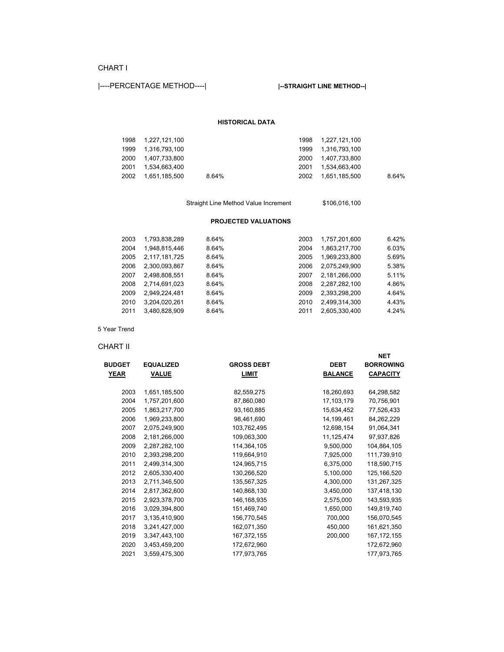#### CHART I

#### |----PERCENTAGE METHOD----| **|--STRAIGHT LINE METHOD--|**

#### **HISTORICAL DATA**

|                    |       | 1998 1.227.121.100 |       |
|--------------------|-------|--------------------|-------|
| 1999 1.316.793.100 |       | 1999 1,316,793,100 |       |
| 2000 1.407.733.800 |       | 2000 1.407.733.800 |       |
| 2001 1.534.663.400 |       | 2001 1.534.663.400 |       |
| 2002 1.651.185.500 | 8.64% | 2002 1.651.185.500 | 8.64% |

Straight Line Method Value Increment \$106,016,100

#### **PROJECTED VALUATIONS**

| 2003 | 1,793,838,289 | 8.64% | 2003 | 1.757.201.600 | 6.42% |
|------|---------------|-------|------|---------------|-------|
| 2004 | 1.948.815.446 | 8.64% | 2004 | 1,863,217,700 | 6.03% |
| 2005 | 2.117.181.725 | 8.64% | 2005 | 1.969.233.800 | 5.69% |
| 2006 | 2,300,093,867 | 8.64% | 2006 | 2.075.249.900 | 5.38% |
| 2007 | 2.498.808.551 | 8.64% | 2007 | 2.181.266.000 | 5.11% |
| 2008 | 2.714.691.023 | 8.64% | 2008 | 2.287.282.100 | 4.86% |
| 2009 | 2.949.224.481 | 8.64% | 2009 | 2.393.298.200 | 4.64% |
| 2010 | 3.204.020.261 | 8.64% | 2010 | 2.499.314.300 | 4.43% |
| 2011 | 3,480,828,909 | 8.64% | 2011 | 2.605.330.400 | 4.24% |

5 Year Trend

#### CHART II

|               |                  |                   |                | <b>NET</b>       |
|---------------|------------------|-------------------|----------------|------------------|
| <b>BUDGET</b> | <b>EQUALIZED</b> | <b>GROSS DEBT</b> | <b>DEBT</b>    | <b>BORROWING</b> |
| <b>YEAR</b>   | <u>VALUE</u>     | LIMIT             | <b>BALANCE</b> | <b>CAPACITY</b>  |
|               |                  |                   |                |                  |
| 2003          | 1,651,185,500    | 82,559,275        | 18,260,693     | 64,298,582       |
| 2004          | 1,757,201,600    | 87,860,080        | 17,103,179     | 70,756,901       |
| 2005          | 1,863,217,700    | 93,160,885        | 15,634,452     | 77,526,433       |
| 2006          | 1,969,233,800    | 98,461,690        | 14,199,461     | 84,262,229       |
| 2007          | 2,075,249,900    | 103,762,495       | 12,698,154     | 91,064,341       |
| 2008          | 2,181,266,000    | 109,063,300       | 11,125,474     | 97,937,826       |
| 2009          | 2,287,282,100    | 114,364,105       | 9,500,000      | 104,864,105      |
| 2010          | 2,393,298,200    | 119,664,910       | 7,925,000      | 111,739,910      |
| 2011          | 2,499,314,300    | 124,965,715       | 6,375,000      | 118,590,715      |
| 2012          | 2,605,330,400    | 130,266,520       | 5,100,000      | 125,166,520      |
| 2013          | 2,711,346,500    | 135,567,325       | 4,300,000      | 131,267,325      |
| 2014          | 2,817,362,600    | 140,868,130       | 3,450,000      | 137,418,130      |
| 2015          | 2,923,378,700    | 146,168,935       | 2,575,000      | 143,593,935      |
| 2016          | 3,029,394,800    | 151,469,740       | 1,650,000      | 149,819,740      |
| 2017          | 3,135,410,900    | 156,770,545       | 700,000        | 156,070,545      |
| 2018          | 3,241,427,000    | 162,071,350       | 450,000        | 161,621,350      |
| 2019          | 3,347,443,100    | 167,372,155       | 200,000        | 167, 172, 155    |
| 2020          | 3,453,459,200    | 172,672,960       |                | 172,672,960      |
| 2021          | 3,559,475,300    | 177,973,765       |                | 177,973,765      |
|               |                  |                   |                |                  |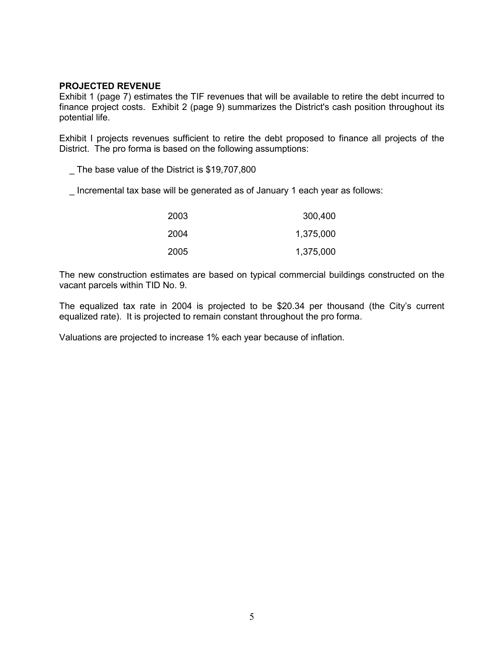#### **PROJECTED REVENUE**

Exhibit 1 (page 7) estimates the TIF revenues that will be available to retire the debt incurred to finance project costs. Exhibit 2 (page 9) summarizes the District's cash position throughout its potential life.

Exhibit I projects revenues sufficient to retire the debt proposed to finance all projects of the District. The pro forma is based on the following assumptions:

\_ The base value of the District is \$19,707,800

Incremental tax base will be generated as of January 1 each year as follows:

| 2003 | 300,400   |
|------|-----------|
| 2004 | 1,375,000 |
| 2005 | 1,375,000 |

The new construction estimates are based on typical commercial buildings constructed on the vacant parcels within TID No. 9.

The equalized tax rate in 2004 is projected to be \$20.34 per thousand (the City's current equalized rate). It is projected to remain constant throughout the pro forma.

Valuations are projected to increase 1% each year because of inflation.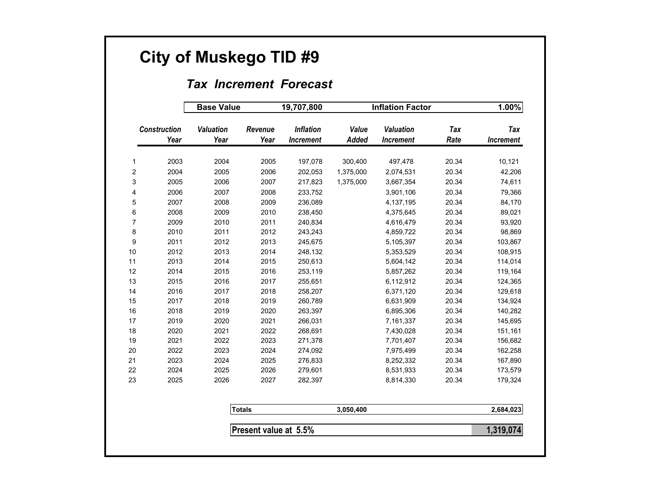# **City of Muskego TID #9**

#### *Tax Increment Forecast*

|                         |                     | <b>Base Value</b> |                       | 19,707,800       |              | <b>Inflation Factor</b> |            | 1.00%            |
|-------------------------|---------------------|-------------------|-----------------------|------------------|--------------|-------------------------|------------|------------------|
|                         | <b>Construction</b> | <b>Valuation</b>  | Revenue               | <b>Inflation</b> | Value        | Valuation               | <b>Tax</b> | <b>Tax</b>       |
|                         | Year                | Year              | Year                  | <b>Increment</b> | <b>Added</b> | <b>Increment</b>        | Rate       | <b>Increment</b> |
|                         |                     |                   |                       |                  |              |                         |            |                  |
| 1                       | 2003                | 2004              | 2005                  | 197,078          | 300,400      | 497,478                 | 20.34      | 10,121           |
| $\overline{\mathbf{c}}$ | 2004                | 2005              | 2006                  | 202,053          | 1,375,000    | 2,074,531               | 20.34      | 42,206           |
| 3                       | 2005                | 2006              | 2007                  | 217,823          | 1,375,000    | 3,667,354               | 20.34      | 74,611           |
| 4                       | 2006                | 2007              | 2008                  | 233,752          |              | 3,901,106               | 20.34      | 79,366           |
| 5                       | 2007                | 2008              | 2009                  | 236,089          |              | 4,137,195               | 20.34      | 84,170           |
| 6                       | 2008                | 2009              | 2010                  | 238,450          |              | 4,375,645               | 20.34      | 89,021           |
| $\overline{7}$          | 2009                | 2010              | 2011                  | 240,834          |              | 4,616,479               | 20.34      | 93,920           |
| 8                       | 2010                | 2011              | 2012                  | 243,243          |              | 4,859,722               | 20.34      | 98,869           |
| 9                       | 2011                | 2012              | 2013                  | 245,675          |              | 5,105,397               | 20.34      | 103,867          |
| 10                      | 2012                | 2013              | 2014                  | 248,132          |              | 5,353,529               | 20.34      | 108,915          |
| 11                      | 2013                | 2014              | 2015                  | 250,613          |              | 5,604,142               | 20.34      | 114,014          |
| 12                      | 2014                | 2015              | 2016                  | 253,119          |              | 5,857,262               | 20.34      | 119,164          |
| 13                      | 2015                | 2016              | 2017                  | 255,651          |              | 6,112,912               | 20.34      | 124,365          |
| 14                      | 2016                | 2017              | 2018                  | 258,207          |              | 6,371,120               | 20.34      | 129,618          |
| 15                      | 2017                | 2018              | 2019                  | 260,789          |              | 6,631,909               | 20.34      | 134,924          |
| 16                      | 2018                | 2019              | 2020                  | 263,397          |              | 6,895,306               | 20.34      | 140,282          |
| 17                      | 2019                | 2020              | 2021                  | 266,031          |              | 7,161,337               | 20.34      | 145,695          |
| 18                      | 2020                | 2021              | 2022                  | 268,691          |              | 7,430,028               | 20.34      | 151,161          |
| 19                      | 2021                | 2022              | 2023                  | 271,378          |              | 7,701,407               | 20.34      | 156,682          |
| 20                      | 2022                | 2023              | 2024                  | 274,092          |              | 7,975,499               | 20.34      | 162,258          |
| 21                      | 2023                | 2024              | 2025                  | 276,833          |              | 8,252,332               | 20.34      | 167,890          |
| 22                      | 2024                | 2025              | 2026                  | 279,601          |              | 8,531,933               | 20.34      | 173,579          |
| 23                      | 2025                | 2026              | 2027                  | 282,397          |              | 8,814,330               | 20.34      | 179,324          |
|                         |                     |                   |                       |                  |              |                         |            |                  |
|                         |                     | <b>Totals</b>     |                       |                  | 3,050,400    |                         |            | 2,684,023        |
|                         |                     |                   | Present value at 5.5% |                  |              |                         |            | 1,319,074        |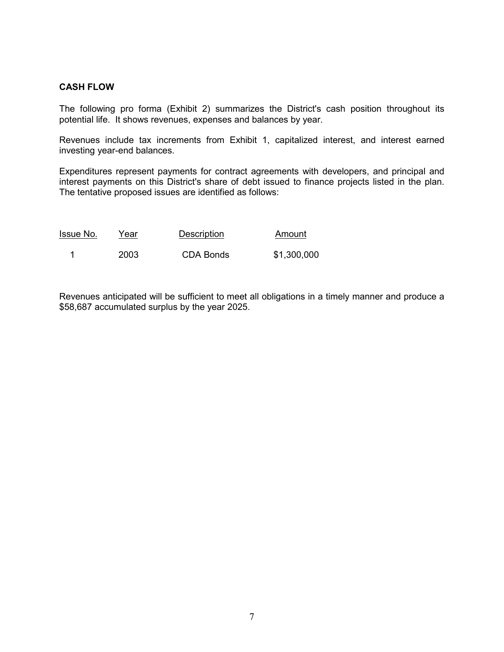#### **CASH FLOW**

The following pro forma (Exhibit 2) summarizes the District's cash position throughout its potential life. It shows revenues, expenses and balances by year.

Revenues include tax increments from Exhibit 1, capitalized interest, and interest earned investing year-end balances.

Expenditures represent payments for contract agreements with developers, and principal and interest payments on this District's share of debt issued to finance projects listed in the plan. The tentative proposed issues are identified as follows:

| Issue No. | Year | Description | Amount      |
|-----------|------|-------------|-------------|
|           | 2003 | CDA Bonds   | \$1,300,000 |

Revenues anticipated will be sufficient to meet all obligations in a timely manner and produce a \$58,687 accumulated surplus by the year 2025.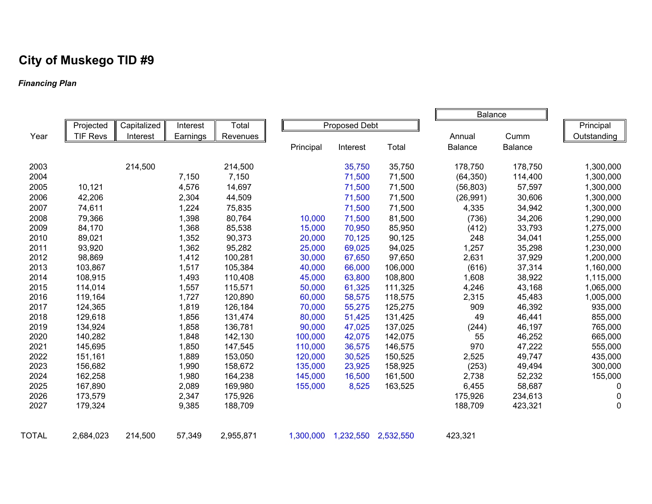### **City of Muskego TID #9**

#### *Financing Plan*

|              |                 |             |          |           |           |                      |           | <b>Balance</b> |                |             |
|--------------|-----------------|-------------|----------|-----------|-----------|----------------------|-----------|----------------|----------------|-------------|
|              | Projected       | Capitalized | Interest | Total     |           | <b>Proposed Debt</b> |           |                |                | Principal   |
| Year         | <b>TIF Revs</b> | Interest    | Earnings | Revenues  |           |                      |           | Annual         | Cumm           | Outstanding |
|              |                 |             |          |           | Principal | Interest             | Total     | Balance        | <b>Balance</b> |             |
| 2003         |                 | 214,500     |          | 214,500   |           | 35,750               | 35,750    | 178,750        | 178,750        | 1,300,000   |
| 2004         |                 |             | 7,150    | 7,150     |           | 71,500               | 71,500    | (64, 350)      | 114,400        | 1,300,000   |
| 2005         | 10,121          |             | 4,576    | 14,697    |           | 71,500               | 71,500    | (56, 803)      | 57,597         | 1,300,000   |
| 2006         | 42,206          |             | 2,304    | 44,509    |           | 71,500               | 71,500    | (26, 991)      | 30,606         | 1,300,000   |
| 2007         | 74,611          |             | 1,224    | 75,835    |           | 71,500               | 71,500    | 4,335          | 34,942         | 1,300,000   |
| 2008         | 79,366          |             | 1,398    | 80,764    | 10,000    | 71,500               | 81,500    | (736)          | 34,206         | 1,290,000   |
| 2009         | 84,170          |             | 1,368    | 85,538    | 15,000    | 70,950               | 85,950    | (412)          | 33,793         | 1,275,000   |
| 2010         | 89,021          |             | 1,352    | 90,373    | 20,000    | 70,125               | 90,125    | 248            | 34,041         | 1,255,000   |
| 2011         | 93,920          |             | 1,362    | 95,282    | 25,000    | 69,025               | 94,025    | 1,257          | 35,298         | 1,230,000   |
| 2012         | 98,869          |             | 1,412    | 100,281   | 30,000    | 67,650               | 97,650    | 2,631          | 37,929         | 1,200,000   |
| 2013         | 103,867         |             | 1,517    | 105,384   | 40,000    | 66,000               | 106,000   | (616)          | 37,314         | 1,160,000   |
| 2014         | 108,915         |             | 1,493    | 110,408   | 45,000    | 63,800               | 108,800   | 1,608          | 38,922         | 1,115,000   |
| 2015         | 114,014         |             | 1,557    | 115,571   | 50,000    | 61,325               | 111,325   | 4,246          | 43,168         | 1,065,000   |
| 2016         | 119,164         |             | 1,727    | 120,890   | 60,000    | 58,575               | 118,575   | 2,315          | 45,483         | 1,005,000   |
| 2017         | 124,365         |             | 1,819    | 126,184   | 70,000    | 55,275               | 125,275   | 909            | 46,392         | 935,000     |
| 2018         | 129,618         |             | 1,856    | 131,474   | 80,000    | 51,425               | 131,425   | 49             | 46,441         | 855,000     |
| 2019         | 134,924         |             | 1,858    | 136,781   | 90,000    | 47,025               | 137,025   | (244)          | 46,197         | 765,000     |
| 2020         | 140,282         |             | 1,848    | 142,130   | 100,000   | 42,075               | 142,075   | 55             | 46,252         | 665,000     |
| 2021         | 145,695         |             | 1,850    | 147,545   | 110,000   | 36,575               | 146,575   | 970            | 47,222         | 555,000     |
| 2022         | 151,161         |             | 1,889    | 153,050   | 120,000   | 30,525               | 150,525   | 2,525          | 49,747         | 435,000     |
| 2023         | 156,682         |             | 1,990    | 158,672   | 135,000   | 23,925               | 158,925   | (253)          | 49,494         | 300,000     |
| 2024         | 162,258         |             | 1,980    | 164,238   | 145,000   | 16,500               | 161,500   | 2,738          | 52,232         | 155,000     |
| 2025         | 167,890         |             | 2,089    | 169,980   | 155,000   | 8,525                | 163,525   | 6,455          | 58,687         | 0           |
| 2026         | 173,579         |             | 2,347    | 175,926   |           |                      |           | 175,926        | 234,613        | $\pmb{0}$   |
| 2027         | 179,324         |             | 9,385    | 188,709   |           |                      |           | 188,709        | 423,321        | $\mathbf 0$ |
| <b>TOTAL</b> | 2,684,023       | 214,500     | 57,349   | 2,955,871 | 1,300,000 | 1,232,550            | 2,532,550 | 423,321        |                |             |

r.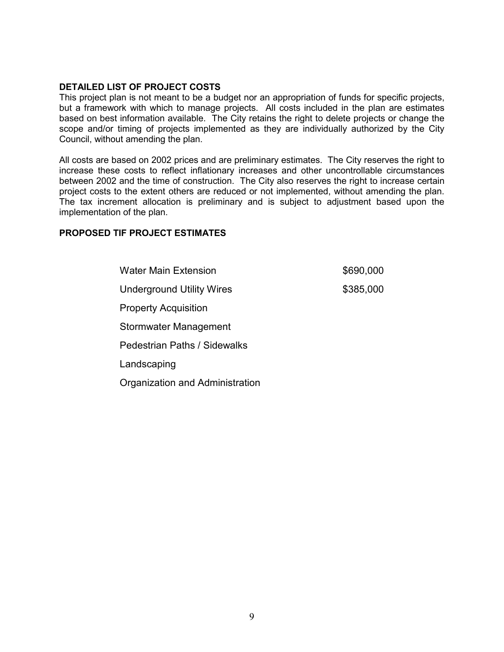#### **DETAILED LIST OF PROJECT COSTS**

This project plan is not meant to be a budget nor an appropriation of funds for specific projects, but a framework with which to manage projects. All costs included in the plan are estimates based on best information available. The City retains the right to delete projects or change the scope and/or timing of projects implemented as they are individually authorized by the City Council, without amending the plan.

All costs are based on 2002 prices and are preliminary estimates. The City reserves the right to increase these costs to reflect inflationary increases and other uncontrollable circumstances between 2002 and the time of construction. The City also reserves the right to increase certain project costs to the extent others are reduced or not implemented, without amending the plan. The tax increment allocation is preliminary and is subject to adjustment based upon the implementation of the plan.

#### **PROPOSED TIF PROJECT ESTIMATES**

Water Main Extension **\$690,000** Underground Utility Wires \$385,000 Property Acquisition Stormwater Management Pedestrian Paths / Sidewalks Landscaping Organization and Administration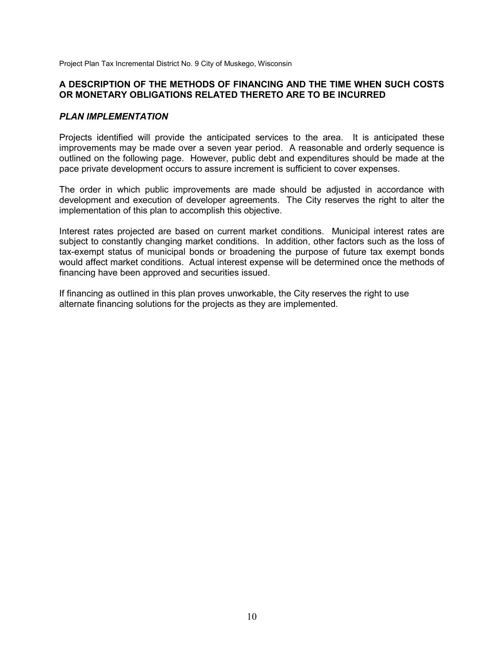Project Plan Tax Incremental District No. 9 City of Muskego, Wisconsin

#### **A DESCRIPTION OF THE METHODS OF FINANCING AND THE TIME WHEN SUCH COSTS OR MONETARY OBLIGATIONS RELATED THERETO ARE TO BE INCURRED**

#### *PLAN IMPLEMENTATION*

Projects identified will provide the anticipated services to the area. It is anticipated these improvements may be made over a seven year period. A reasonable and orderly sequence is outlined on the following page. However, public debt and expenditures should be made at the pace private development occurs to assure increment is sufficient to cover expenses.

The order in which public improvements are made should be adjusted in accordance with development and execution of developer agreements. The City reserves the right to alter the implementation of this plan to accomplish this objective.

Interest rates projected are based on current market conditions. Municipal interest rates are subject to constantly changing market conditions. In addition, other factors such as the loss of tax-exempt status of municipal bonds or broadening the purpose of future tax exempt bonds would affect market conditions. Actual interest expense will be determined once the methods of financing have been approved and securities issued.

If financing as outlined in this plan proves unworkable, the City reserves the right to use alternate financing solutions for the projects as they are implemented.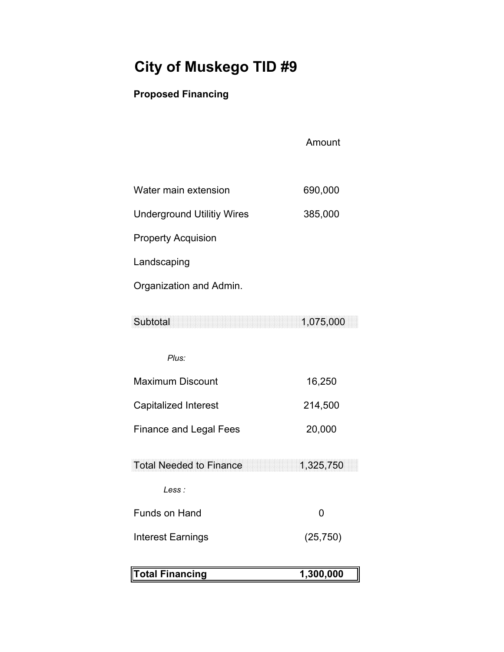## **City of Muskego TID #9**

### **Proposed Financing**

| Water main extension              | 690,000 |
|-----------------------------------|---------|
| <b>Underground Utilitiy Wires</b> | 385,000 |

Property Acquision

Landscaping

Organization and Admin.

Subtotal 1,075,000

*Plus:*

| <b>Maximum Discount</b> | 16,250  |
|-------------------------|---------|
| Capitalized Interest    | 214,500 |
| Finance and Legal Fees  | 20,000  |

Total Needed to Finance 1,325,750

#### *Less :*

Funds on Hand 0

Interest Earnings (25,750)

| <b>Total Financing</b> | 1.300.000 |
|------------------------|-----------|
|                        |           |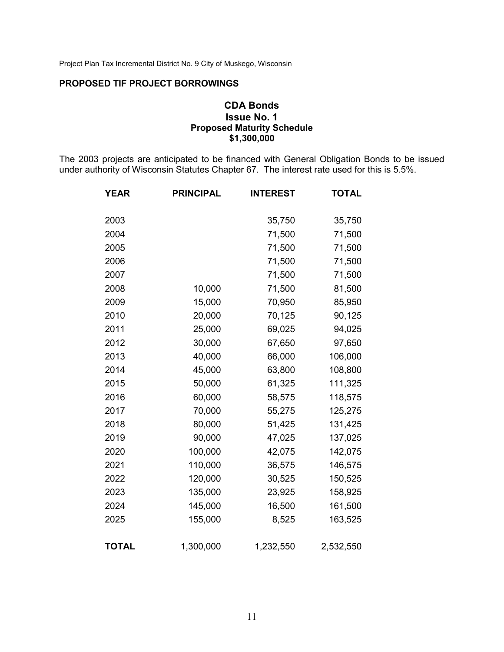Project Plan Tax Incremental District No. 9 City of Muskego, Wisconsin

#### **PROPOSED TIF PROJECT BORROWINGS**

#### **CDA Bonds Issue No. 1 Proposed Maturity Schedule**   $$1,300,000$

The 2003 projects are anticipated to be financed with General Obligation Bonds to be issued under authority of Wisconsin Statutes Chapter 67. The interest rate used for this is 5.5%.

| YEAR         | <b>PRINCIPAL</b> | <b>INTEREST</b> | <b>TOTAL</b>   |
|--------------|------------------|-----------------|----------------|
| 2003         |                  | 35,750          | 35,750         |
| 2004         |                  | 71,500          | 71,500         |
| 2005         |                  | 71,500          | 71,500         |
| 2006         |                  | 71,500          | 71,500         |
| 2007         |                  | 71,500          | 71,500         |
| 2008         | 10,000           | 71,500          | 81,500         |
| 2009         | 15,000           | 70,950          | 85,950         |
| 2010         | 20,000           | 70,125          | 90,125         |
| 2011         | 25,000           | 69,025          | 94,025         |
| 2012         | 30,000           | 67,650          | 97,650         |
| 2013         | 40,000           | 66,000          | 106,000        |
| 2014         | 45,000           | 63,800          | 108,800        |
| 2015         | 50,000           | 61,325          | 111,325        |
| 2016         | 60,000           | 58,575          | 118,575        |
| 2017         | 70,000           | 55,275          | 125,275        |
| 2018         | 80,000           | 51,425          | 131,425        |
| 2019         | 90,000           | 47,025          | 137,025        |
| 2020         | 100,000          | 42,075          | 142,075        |
| 2021         | 110,000          | 36,575          | 146,575        |
| 2022         | 120,000          | 30,525          | 150,525        |
| 2023         | 135,000          | 23,925          | 158,925        |
| 2024         | 145,000          | 16,500          | 161,500        |
| 2025         | 155,000          | <u>8,525</u>    | <u>163,525</u> |
| <b>TOTAL</b> | 1,300,000        | 1,232,550       | 2,532,550      |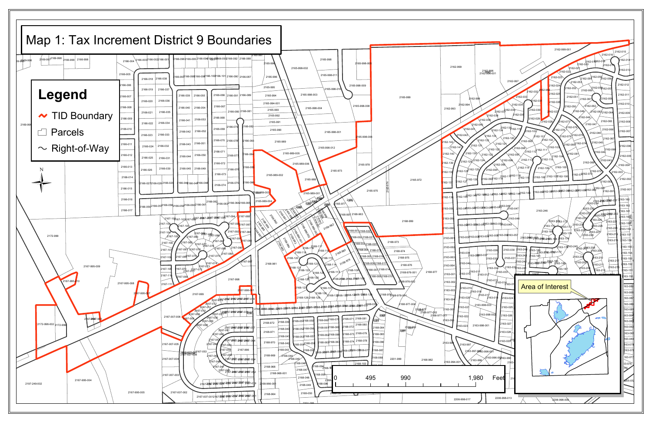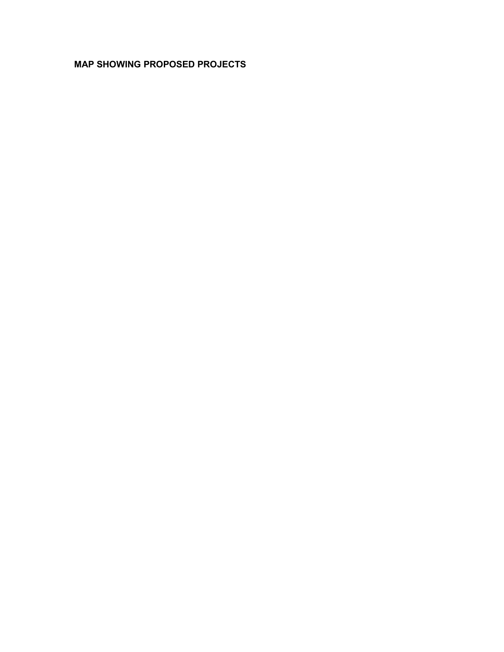#### **MAP SHOWING PROPOSED PROJECTS**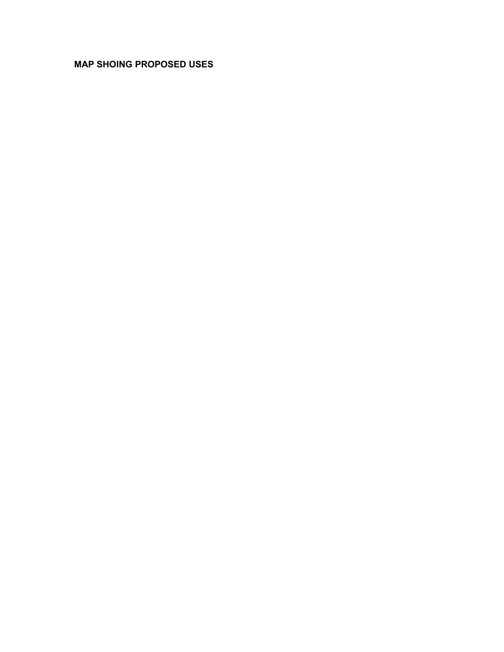#### **MAP SHOING PROPOSED USES**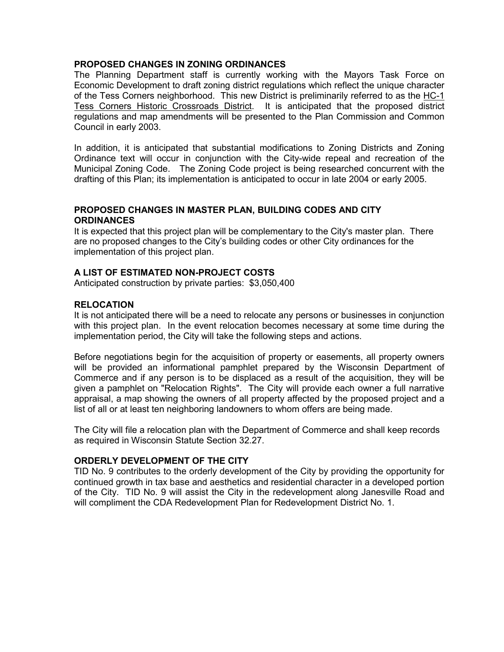#### **PROPOSED CHANGES IN ZONING ORDINANCES**

The Planning Department staff is currently working with the Mayors Task Force on Economic Development to draft zoning district regulations which reflect the unique character of the Tess Corners neighborhood. This new District is preliminarily referred to as the HC-1 Tess Corners Historic Crossroads District. It is anticipated that the proposed district regulations and map amendments will be presented to the Plan Commission and Common Council in early 2003.

In addition, it is anticipated that substantial modifications to Zoning Districts and Zoning Ordinance text will occur in conjunction with the City-wide repeal and recreation of the Municipal Zoning Code. The Zoning Code project is being researched concurrent with the drafting of this Plan; its implementation is anticipated to occur in late 2004 or early 2005.

#### **PROPOSED CHANGES IN MASTER PLAN, BUILDING CODES AND CITY ORDINANCES**

It is expected that this project plan will be complementary to the City's master plan. There are no proposed changes to the City's building codes or other City ordinances for the implementation of this project plan.

#### **A LIST OF ESTIMATED NON-PROJECT COSTS**

Anticipated construction by private parties: \$3,050,400

#### **RELOCATION**

It is not anticipated there will be a need to relocate any persons or businesses in conjunction with this project plan. In the event relocation becomes necessary at some time during the implementation period, the City will take the following steps and actions.

Before negotiations begin for the acquisition of property or easements, all property owners will be provided an informational pamphlet prepared by the Wisconsin Department of Commerce and if any person is to be displaced as a result of the acquisition, they will be given a pamphlet on "Relocation Rights". The City will provide each owner a full narrative appraisal, a map showing the owners of all property affected by the proposed project and a list of all or at least ten neighboring landowners to whom offers are being made.

The City will file a relocation plan with the Department of Commerce and shall keep records as required in Wisconsin Statute Section 32.27.

#### **ORDERLY DEVELOPMENT OF THE CITY**

TID No. 9 contributes to the orderly development of the City by providing the opportunity for continued growth in tax base and aesthetics and residential character in a developed portion of the City. TID No. 9 will assist the City in the redevelopment along Janesville Road and will compliment the CDA Redevelopment Plan for Redevelopment District No. 1.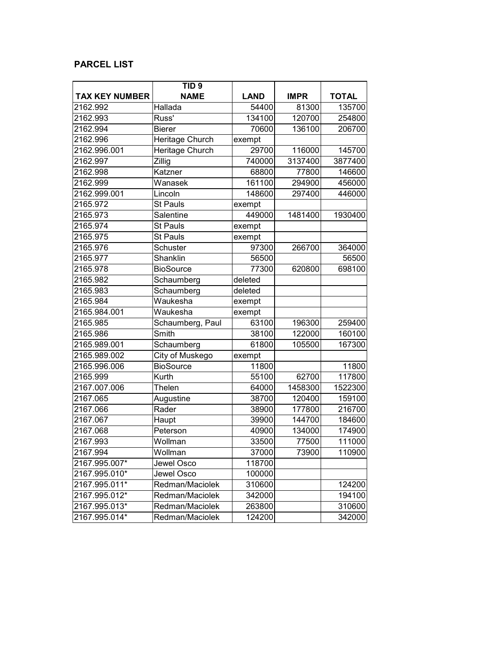#### **PARCEL LIST**

|                       | TID <sub>9</sub> |             |             |              |
|-----------------------|------------------|-------------|-------------|--------------|
| <b>TAX KEY NUMBER</b> | <b>NAME</b>      | <b>LAND</b> | <b>IMPR</b> | <b>TOTAL</b> |
| 2162.992              | Hallada          | 54400       | 81300       | 135700       |
| 2162.993              | Russ'            | 134100      | 120700      | 254800       |
| 2162.994              | <b>Bierer</b>    | 70600       | 136100      | 206700       |
| 2162.996              | Heritage Church  | exempt      |             |              |
| 2162.996.001          | Heritage Church  | 29700       | 116000      | 145700       |
| 2162.997              | Zillig           | 740000      | 3137400     | 3877400      |
| 2162.998              | Katzner          | 68800       | 77800       | 146600       |
| 2162.999              | Wanasek          | 161100      | 294900      | 456000       |
| 2162.999.001          | Lincoln          | 148600      | 297400      | 446000       |
| 2165.972              | <b>St Pauls</b>  | exempt      |             |              |
| 2165.973              | Salentine        | 449000      | 1481400     | 1930400      |
| 2165.974              | <b>St Pauls</b>  | exempt      |             |              |
| 2165.975              | <b>St Pauls</b>  | exempt      |             |              |
| 2165.976              | Schuster         | 97300       | 266700      | 364000       |
| 2165.977              | Shanklin         | 56500       |             | 56500        |
| 2165.978              | <b>BioSource</b> | 77300       | 620800      | 698100       |
| 2165.982              | Schaumberg       | deleted     |             |              |
| 2165.983              | Schaumberg       | deleted     |             |              |
| 2165.984              | Waukesha         | exempt      |             |              |
| 2165.984.001          | Waukesha         | exempt      |             |              |
| 2165.985              | Schaumberg, Paul | 63100       | 196300      | 259400       |
| 2165.986              | Smith            | 38100       | 122000      | 160100       |
| 2165.989.001          | Schaumberg       | 61800       | 105500      | 167300       |
| 2165.989.002          | City of Muskego  | exempt      |             |              |
| 2165.996.006          | <b>BioSource</b> | 11800       |             | 11800        |
| 2165.999              | Kurth            | 55100       | 62700       | 117800       |
| 2167.007.006          | Thelen           | 64000       | 1458300     | 1522300      |
| 2167.065              | Augustine        | 38700       | 120400      | 159100       |
| 2167.066              | Rader            | 38900       | 177800      | 216700       |
| 2167.067              | Haupt            | 39900       | 144700      | 184600       |
| 2167.068              | Peterson         | 40900       | 134000      | 174900       |
| 2167.993              | Wollman          | 33500       | 77500       | 111000       |
| 2167.994              | Wollman          | 37000       | 73900       | 110900       |
| 2167.995.007*         | Jewel Osco       | 118700      |             |              |
| 2167.995.010*         | Jewel Osco       | 100000      |             |              |
| 2167.995.011*         | Redman/Maciolek  | 310600      |             | 124200       |
| 2167.995.012*         | Redman/Maciolek  | 342000      |             | 194100       |
| 2167.995.013*         | Redman/Maciolek  | 263800      |             | 310600       |
| 2167.995.014*         | Redman/Maciolek  | 124200      |             | 342000       |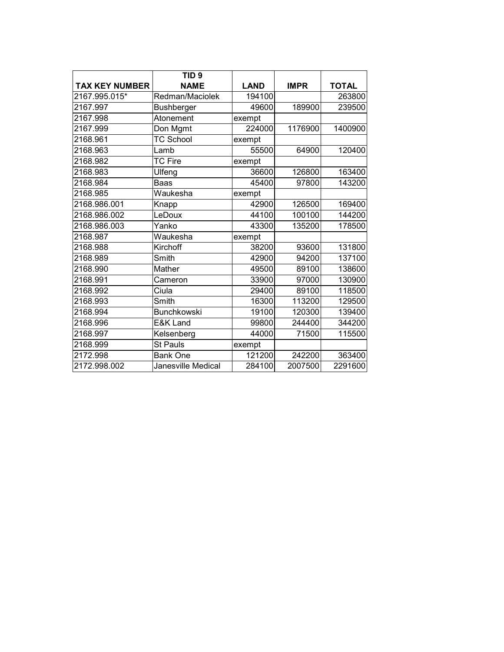|                       | TID <sub>9</sub>    |             |             |              |
|-----------------------|---------------------|-------------|-------------|--------------|
| <b>TAX KEY NUMBER</b> | <b>NAME</b>         | <b>LAND</b> | <b>IMPR</b> | <b>TOTAL</b> |
| 2167.995.015*         | Redman/Maciolek     | 194100      |             | 263800       |
| 2167.997              | <b>Bushberger</b>   | 49600       | 189900      | 239500       |
| 2167.998              | Atonement           | exempt      |             |              |
| 2167.999              | Don Mgmt            | 224000      | 1176900     | 1400900      |
| 2168.961              | <b>TC School</b>    | exempt      |             |              |
| 2168.963              | Lamb                | 55500       | 64900       | 120400       |
| 2168.982              | <b>TC Fire</b>      | exempt      |             |              |
| 2168.983              | Ulfeng              | 36600       | 126800      | 163400       |
| 2168.984              | Baas                | 45400       | 97800       | 143200       |
| 2168.985              | Waukesha            | exempt      |             |              |
| 2168.986.001          | Knapp               | 42900       | 126500      | 169400       |
| 2168.986.002          | LeDoux              | 44100       | 100100      | 144200       |
| 2168.986.003          | Yanko               | 43300       | 135200      | 178500       |
| 2168.987              | Waukesha            | exempt      |             |              |
| 2168.988              | Kirchoff            | 38200       | 93600       | 131800       |
| 2168.989              | Smith               | 42900       | 94200       | 137100       |
| 2168.990              | Mather              | 49500       | 89100       | 138600       |
| 2168.991              | Cameron             | 33900       | 97000       | 130900       |
| 2168.992              | Ciula               | 29400       | 89100       | 118500       |
| 2168.993              | Smith               | 16300       | 113200      | 129500       |
| 2168.994              | <b>Bunchkowski</b>  | 19100       | 120300      | 139400       |
| 2168.996              | <b>E&amp;K Land</b> | 99800       | 244400      | 344200       |
| 2168.997              | Kelsenberg          | 44000       | 71500       | 115500       |
| 2168.999              | <b>St Pauls</b>     | exempt      |             |              |
| 2172.998              | <b>Bank One</b>     | 121200      | 242200      | 363400       |
| 2172.998.002          | Janesville Medical  | 284100      | 2007500     | 2291600      |